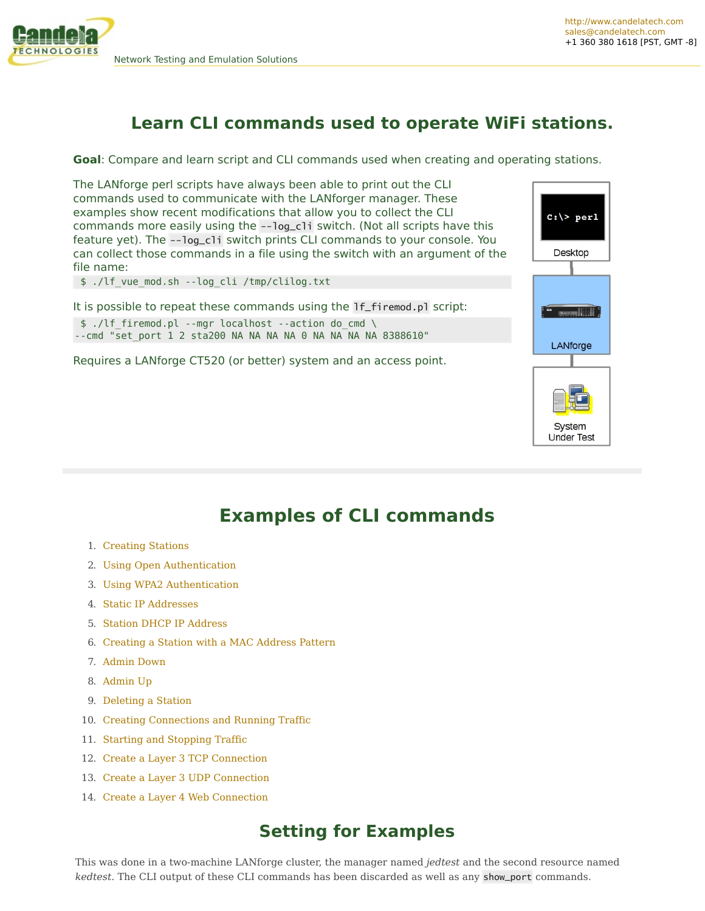

 $c:\rangle >$  perl

**Desktop** 

LANforge

**System Under Test** 

# **Learn CLI commands used to operate WiFi stations.**

**Goal**: Compare and learn script and CLI commands used when creating and operating stations.

The LANforge perl scripts have always been able to print out the CLI commands used to communicate with the LANforger manager. These examples show recent modifications that allow you to collect the CLI commands more easily using the --log\_cli switch. (Not all scripts have this feature yet). The --log\_cli switch prints CLI commands to your console. You can collect those commands in a file using the switch with an argument of the file name:

\$ ./lf\_vue\_mod.sh --log\_cli /tmp/clilog.txt

It is possible to repeat these commands using the lf\_firemod.pl script: \$ ./lf\_firemod.pl --mgr localhost --action do\_cmd \

 $-$ -cmd "set port 1 2 sta200 NA NA NA NA 0 NA NA NA 8388610"

Requires a LANforge CT520 (or better) system and an access point.



- 1. [Creating](http://ctlocal/cookbook.php?vol=cli&book=Station+CLI+Operations&_PRINT#creating_stations) Stations
- 2. Using Open [Authentication](http://ctlocal/cookbook.php?vol=cli&book=Station+CLI+Operations&_PRINT#using_open_authentication)
- 3. Using WPA2 [Authentication](http://ctlocal/cookbook.php?vol=cli&book=Station+CLI+Operations&_PRINT#using_wpa2_authentication)
- 4. Static IP [Addresses](http://ctlocal/cookbook.php?vol=cli&book=Station+CLI+Operations&_PRINT#static_ip_addresses)
- 5. Station DHCP IP [Address](http://ctlocal/cookbook.php?vol=cli&book=Station+CLI+Operations&_PRINT#station_dhcp_ip_address)
- 6. [Creating](http://ctlocal/cookbook.php?vol=cli&book=Station+CLI+Operations&_PRINT#mac_address_pattern) a Station with a MAC Address Pattern
- 7. [Admin](http://ctlocal/cookbook.php?vol=cli&book=Station+CLI+Operations&_PRINT#admin_down) Down
- 8. [Admin](http://ctlocal/cookbook.php?vol=cli&book=Station+CLI+Operations&_PRINT#admin_up) Up
- 9. [Deleting](http://ctlocal/cookbook.php?vol=cli&book=Station+CLI+Operations&_PRINT#delete_station) a Station
- 10. Creating [Connections](http://ctlocal/cookbook.php?vol=cli&book=Station+CLI+Operations&_PRINT#creating_connections_traffic) and Running Traffic
- 11. Starting and [Stopping](http://ctlocal/cookbook.php?vol=cli&book=Station+CLI+Operations&_PRINT#starting_stopping_traffic) Traffic
- 12. Create a Layer 3 TCP [Connection](http://ctlocal/cookbook.php?vol=cli&book=Station+CLI+Operations&_PRINT#create_layer3_tcp)
- 13. Create a Layer 3 UDP [Connection](http://ctlocal/cookbook.php?vol=cli&book=Station+CLI+Operations&_PRINT#create_layer3_udp)
- 14. Create a Layer 4 Web [Connection](http://ctlocal/cookbook.php?vol=cli&book=Station+CLI+Operations&_PRINT#create_layer4_web)

# **Setting for Examples**

This was done in a two-machine LANforge cluster, the manager named *jedtest* and the second resource named *kedtest*. The CLI output of these CLI commands has been discarded as well as any show\_port commands.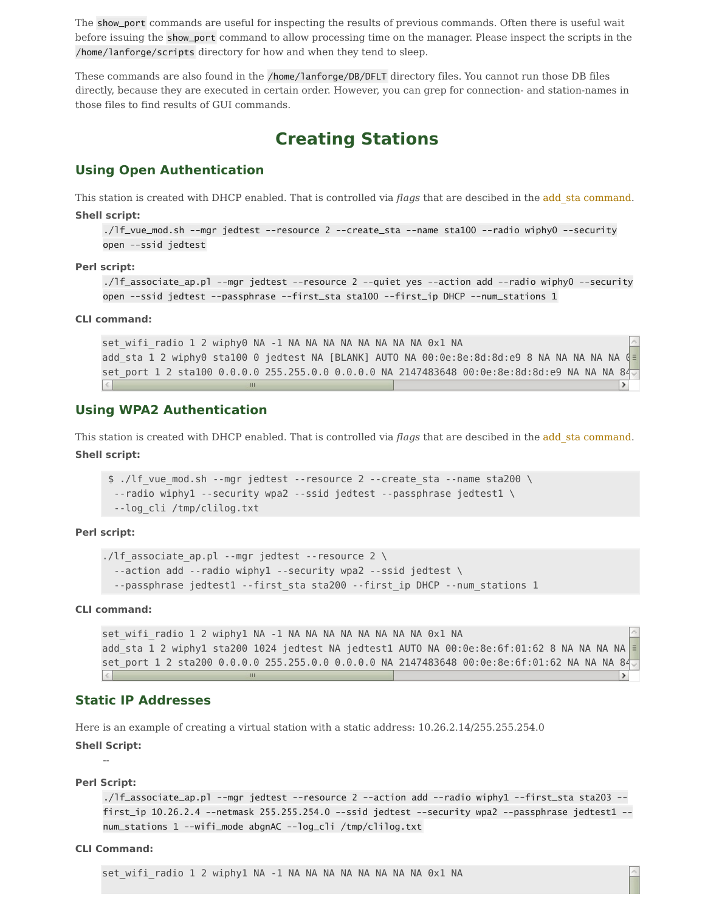The show\_port commands are useful for inspecting the results of previous commands. Often there is useful wait before issuing the show\_port command to allow processing time on the manager. Please inspect the scripts in the /home/lanforge/scripts directory for how and when they tend to sleep.

These commands are also found in the /home/lanforge/DB/DFLT directory files. You cannot run those DB files directly, because they are executed in certain order. However, you can grep for connection- and station-names in those files to find results of GUI commands.

# **Creating Stations**

## **Using Open Authentication**

This station is created with DHCP enabled. That is controlled via *flags* that are descibed in the add\_sta [command](http://candelatech.com/lfcli_ug.php#add_sta).

## **Shell script:**

```
./lf_vue_mod.sh --mgr jedtest --resource 2 --create_sta --name sta100 --radio wiphy0 --security
open --ssid jedtest
```
## **Perl script:**

```
./lf_associate_ap.pl --mgr jedtest --resource 2 --quiet yes --action add --radio wiphy0 --security
open --ssid jedtest --passphrase --first_sta sta100 --first_ip DHCP --num_stations 1
```
#### **CLI command:**

set wifi radio 1 2 wiphy0 NA -1 NA NA NA NA NA NA NA NA 0x1 NA add sta 1 2 wiphy0 sta100 0 jedtest NA [BLANK] AUTO NA 00:0e:8e:8d:8d:e9 8 NA NA NA NA NA set\_port 1 2 sta100 0.0.0.0 255.255.0.0 0.0.0.0 NA 2147483648 00:0e:8e:8d:8d:e9 NA NA NA 84

## **Using WPA2 Authentication**

This station is created with DHCP enabled. That is controlled via *flags* that are descibed in the add\_sta [command](http://candelatech.com/lfcli_ug.php#add_sta). **Shell script:**

```
$ ./lf_vue_mod.sh --mgr jedtest --resource 2 --create_sta --name sta200 \
 --radio wiphy1 --security wpa2 --ssid jedtest --passphrase jedtest1 \
 --log_cli /tmp/clilog.txt
```
## **Perl script:**

```
./lf associate ap.pl --mgr jedtest --resource 2 \setminus--action add --radio wiphy1 --security wpa2 --ssid jedtest \
  --passphrase jedtest1 --first_sta sta200 --first_ip DHCP --num_stations 1
```
## **CLI command:**

set wifi radio 1 2 wiphy1 NA -1 NA NA NA NA NA NA NA NA 0x1 NA add sta 1 2 wiphy1 sta200 1024 jedtest NA jedtest1 AUTO NA 00:0e:8e:6f:01:62 8 NA NA NA NA  $\ge$ set port 1 2 sta200 0.0.0.0 255.255.0.0 0.0.0.0 NA 2147483648 00:0e:8e:6f:01:62 NA NA NA 84

## **Static IP Addresses**

Here is an example of creating a virtual station with a static address: 10.26.2.14/255.255.254.0

## **Shell Script:**

## -- **Perl Script:**

```
./lf_associate_ap.pl --mgr jedtest --resource 2 --action add --radio wiphy1 --first_sta sta203 --
first_ip 10.26.2.4 --netmask 255.255.254.0 --ssid jedtest --security wpa2 --passphrase jedtest1 --
num_stations 1 --wifi_mode abgnAC --log_cli /tmp/clilog.txt
```
## **CLI Command:**

set wifi radio 1 2 wiphy1 NA -1 NA NA NA NA NA NA NA NA 0x1 NA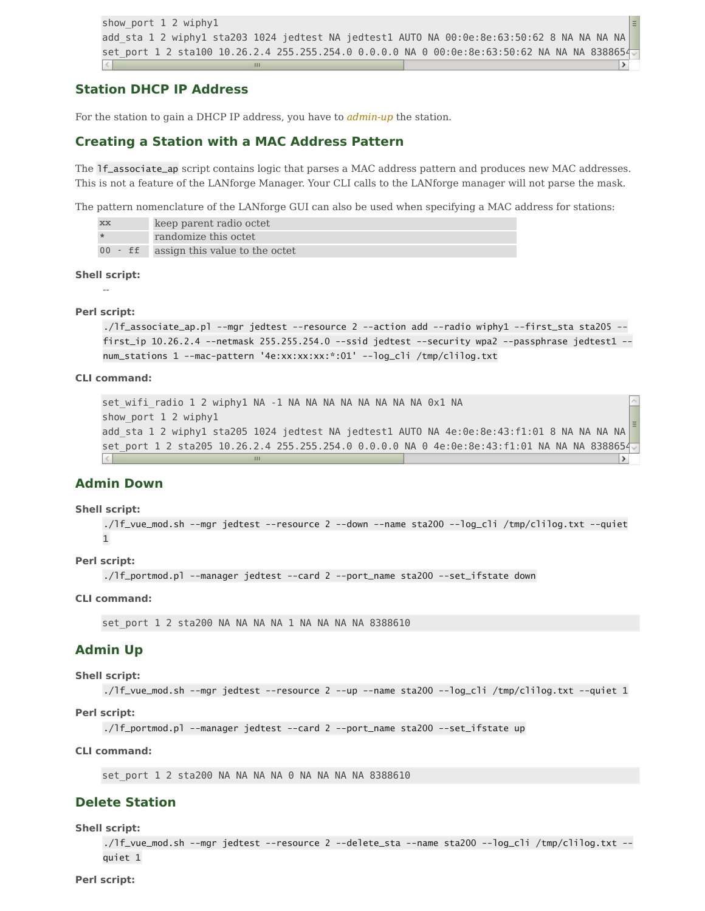```
show_port 1 2 wiphy1
add sta 1 2 wiphy1 sta203 1024 jedtest NA jedtest1 AUTO NA 00:0e:8e:63:50:62 8 NA NA NA NA
set port 1 2 sta100 10.26.2.4 255.255.254.0 0.0.0.0 NA 0 00:0e:8e:63:50:62 NA NA NA 838865
```
## **Station DHCP IP Address**

For the station to gain a DHCP IP address, you have to *[admin-up](http://ctlocal/cookbook.php?vol=cli&book=Station+CLI+Operations&_PRINT#admin_up)* the station.

## **Creating a Station with a MAC Address Pattern**

The lf\_associate\_ap script contains logic that parses a MAC address pattern and produces new MAC addresses. This is not a feature of the LANforge Manager. Your CLI calls to the LANforge manager will not parse the mask.

The pattern nomenclature of the LANforge GUI can also be used when specifying a MAC address for stations:

| XX | keep parent radio octet                |
|----|----------------------------------------|
|    | randomize this octet                   |
|    | 00 - ff assign this value to the octet |

## **Shell script:**

--

#### **Perl script:**

```
./lf_associate_ap.pl --mgr jedtest --resource 2 --action add --radio wiphy1 --first_sta sta205 --
first_ip 10.26.2.4 --netmask 255.255.254.0 --ssid jedtest --security wpa2 --passphrase jedtest1 --
num_stations 1 --mac-pattern '4e:xx:xx:xx:*:01' --log_cli /tmp/clilog.txt
```
#### **CLI command:**

```
set_wifi_radio 1 2 wiphy1 NA -1 NA NA NA NA NA NA NA NA 0x1 NA
show_port 1 2 wiphy1
add sta 1 2 wiphy1 sta205 1024 jedtest NA jedtest1 AUTO NA 4e:0e:8e:43:f1:01 8 NA NA NA NA
set port 1 2 sta205 10.26.2.4 255.255.254.0 0.0.0.0 NA 0 4e:0e:8e:43:f1:01 NA NA NA 8388654
                                                                                             \rightarrow
```
## **Admin Down**

#### **Shell script:**

```
./lf_vue_mod.sh --mgr jedtest --resource 2 --down --name sta200 --log_cli /tmp/clilog.txt --quiet
1
```
## **Perl script:**

```
./lf_portmod.pl --manager jedtest --card 2 --port_name sta200 --set_ifstate down
```
#### **CLI command:**

set port 1 2 sta200 NA NA NA NA 1 NA NA NA NA 8388610

## **Admin Up**

## **Shell script:**

```
./lf_vue_mod.sh --mgr jedtest --resource 2 --up --name sta200 --log_cli /tmp/clilog.txt --quiet 1
```
**Perl script:**

./lf\_portmod.pl --manager jedtest --card 2 --port\_name sta200 --set\_ifstate up

## **CLI command:**

set\_port 1 2 sta200 NA NA NA NA 0 NA NA NA NA 8388610

## **Delete Station**

**Shell script:**

./lf\_vue\_mod.sh --mgr jedtest --resource 2 --delete\_sta --name sta200 --log\_cli /tmp/clilog.txt - quiet 1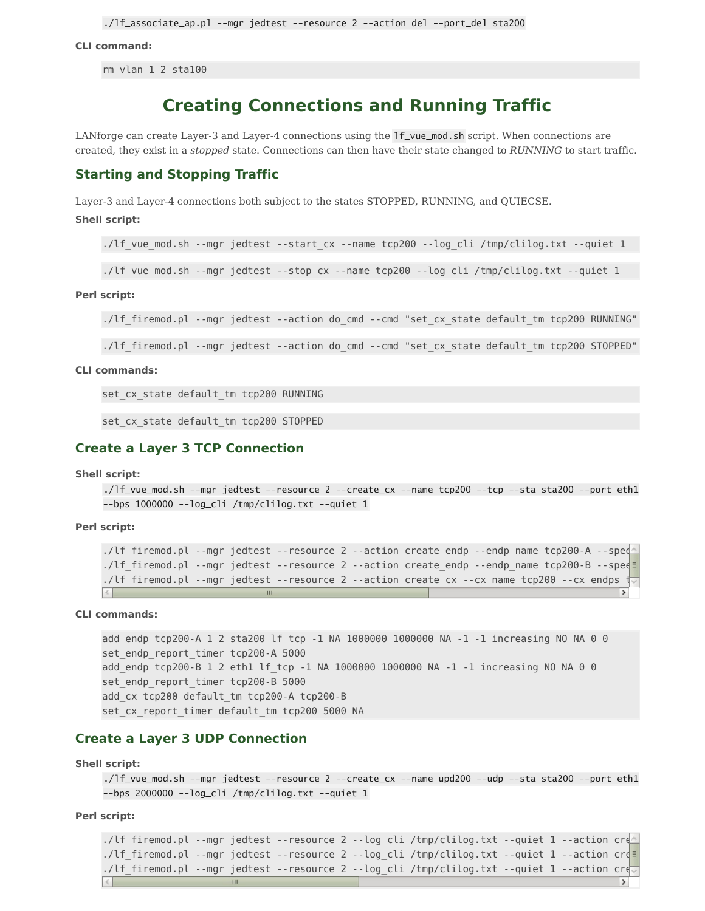## **CLI command:**

rm\_vlan 1 2 sta100

# **Creating Connections and Running Traffic**

LANforge can create Layer-3 and Layer-4 connections using the lf\_vue\_mod.sh script. When connections are created, they exist in a *stopped* state. Connections can then have their state changed to *RUNNING* to start traffic.

## **Starting and Stopping Traffic**

Layer-3 and Layer-4 connections both subject to the states STOPPED, RUNNING, and QUIECSE.

### **Shell script:**

./lf\_vue\_mod.sh --mgr jedtest --start\_cx --name tcp200 --log\_cli /tmp/clilog.txt --quiet 1

./lf vue mod.sh --mgr jedtest --stop cx --name tcp200 --log cli /tmp/clilog.txt --quiet 1

#### **Perl script:**

./lf firemod.pl --mgr jedtest --action do cmd --cmd "set cx state default tm tcp200 RUNNING"

./lf\_firemod.pl --mgr jedtest --action do\_cmd --cmd "set\_cx\_state default\_tm tcp200 STOPPED"

#### **CLI commands:**

set cx state default tm tcp200 RUNNING

set cx state default tm tcp200 STOPPED

## **Create a Layer 3 TCP Connection**

## **Shell script:**

./lf\_vue\_mod.sh --mgr jedtest --resource 2 --create\_cx --name tcp200 --tcp --sta sta200 --port eth1  $-$ bps 1000000  $-$ -loq\_cli /tmp/cliloq.txt  $-$ -quiet 1

**Perl script:**

```
./lf_firemod.pl --mgr jedtest --resource 2 --action create_endp --endp_name tcp200-A --spee
./lf_firemod.pl --mgr jedtest --resource 2 --action create_endp --endp_name tcp200-B --spee
./lf firemod.pl --mgr jedtest --resource 2 --action create cx --cx name tcp200 --cx endps
\vert \langle \vert
```
## **CLI commands:**

add\_endp tcp200-A 1 2 sta200 lf\_tcp -1 NA 1000000 1000000 NA -1 -1 increasing NO NA 0 0 set endp report timer tcp200-A 5000 add endp tcp200-B 1 2 eth1 lf tcp -1 NA 1000000 1000000 NA -1 -1 increasing NO NA 0 0 set endp report timer tcp200-B 5000 add cx tcp200 default tm tcp200-A tcp200-B set cx report timer default tm tcp200 5000 NA

## **Create a Layer 3 UDP Connection**

## **Shell script:**

```
./lf_vue_mod.sh --mgr jedtest --resource 2 --create_cx --name upd200 --udp --sta sta200 --port eth1
--bps 2000000 --log_cli /tmp/clilog.txt --quiet 1
```
**Perl script:**

./lf firemod.pl --mgr jedtest --resource 2 --log cli /tmp/clilog.txt --quiet 1 --action cr $\epsilon$ ./lf\_firemod.pl --mgr jedtest --resource 2 --log\_cli /tmp/clilog.txt --quiet 1 --action creatend --./lf firemod.pl --mgr jedtest --resource 2 --log cli /tmp/clilog.txt --quiet 1 --action cre  $\rightarrow$